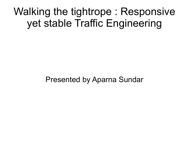## Walking the tightrope : Responsive yet stable Traffic Engineering

Presented by Aparna Sundar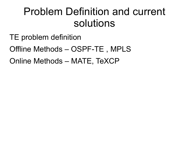### Problem Definition and current solutions

- TE problem definition
- Offline Methods OSPF-TE , MPLS
- Online Methods MATE, TeXCP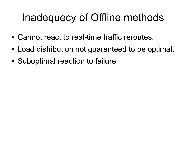# Inadequecy of Offline methods

- Cannot react to real-time traffic reroutes.
- Load distribution not guarenteed to be optimal.
- Suboptimal reaction to failure.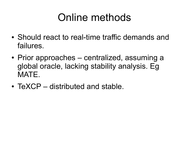# Online methods

- Should react to real-time traffic demands and failures.
- Prior approaches centralized, assuming a global oracle, lacking stability analysis. Eg MATE.
- $\bullet$  TeXCP distributed and stable.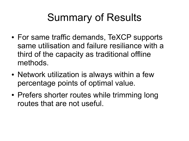# Summary of Results

- For same traffic demands, TeXCP supports same utilisation and failure resiliance with a third of the capacity as traditional offline methods.
- Network utilization is always within a few percentage points of optimal value.
- Prefers shorter routes while trimming long routes that are not useful.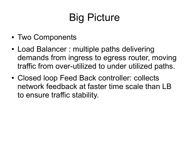# Big Picture

- Two Components
- Load Balancer : multiple paths delivering demands from ingress to egress router, moving traffic from over-utilized to under utilized paths.
- Closed loop Feed Back controller: collects network feedback at faster time scale than LB to ensure traffic stability.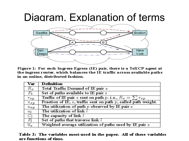#### Diagram, Explanation of terms



Figure 1: For each Ingress-Egress (IE) pair, there is a TeXCP agent at the ingress router, which balances the IE traffic across available paths in an online, distributed fashion.

| Var               | <b>Definition</b>                                                           |
|-------------------|-----------------------------------------------------------------------------|
| $R_{\varepsilon}$ | Total Traffic Demand of IE pair s                                           |
| $P_{\varepsilon}$ | Set of paths available to IE pair s                                         |
| $r_{sp}$          | Traffic of IE pair s sent on path p. i.e., $R_{\sigma} = \sum r_{\sigma p}$ |
| $x_{sp}$          | Fraction of IE, s, traffic sent on path $p$ , called path weight.           |
| $u_{sp}$          | The utilization of path $p$ observed by $I\!E$ pair $s$                     |
| $u_l$             | The utilization of link l                                                   |
| $\overline{C_l}$  | The capacity of link l                                                      |
| $P_l$             | Set of paths that traverse link l                                           |
| $\overline{u}_s$  | Weighted average utilization of paths used by $\overline{IE}$ pair $s$      |

#### Table 2: The variables most-used in the paper. All of these variables are functions of time.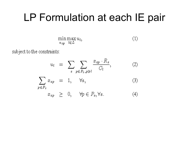#### LP Formulation at each IE pair

$$
\min_{x_{sp}} \max_{l \in L} u_l,\tag{1}
$$

subject to the constraints:

$$
u_{l} = \sum_{s} \sum_{p \in P_{s}, p \ni l} \frac{x_{sp} \cdot R_{s}}{C_{l}},
$$
\n
$$
\sum_{p \in P_{s}} x_{sp} = 1, \quad \forall s,
$$
\n
$$
x_{sp} \geq 0, \quad \forall p \in P_{s}, \forall s.
$$
\n(4)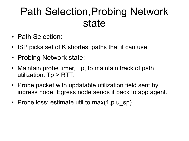### Path Selection,Probing Network state

- Path Selection:
- ISP picks set of K shortest paths that it can use.
- Probing Network state:
- Maintain probe timer, Tp, to maintain track of path utilization. Tp > RTT.
- Probe packet with updatable utilization field sent by ingress node. Egress node sends it back to app agent.
- Probe loss: estimate util to max $(1,p \cup sp)$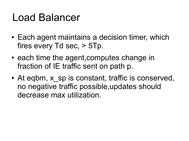### Load Balancer

- Each agent maintains a decision timer, which fires every Td sec, > 5Tp.
- each time the agent, computes change in fraction of IE traffic sent on path p.
- At eqbm, x sp is constant, traffic is conserved, no negative traffic possible,updates should decrease max utilization.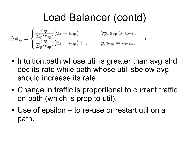# Load Balancer (contd)

$$
\Delta x_{sp} = \begin{cases} \frac{r_{sp}}{\sum_{p' \mid r_{sp'}}} (\overline{u}_s - u_{sp}) & \forall p, u_{sp} > u_{min} \\ \frac{r_{sp}}{\sum_{p' \mid r_{sp'}}} (\overline{u}_s - u_{sp}) + \epsilon & p, u_{sp} = u_{min}. \end{cases}
$$

- Intuition: path whose util is greater than avg shd dec its rate while path whose util isbelow avg should increase its rate.
- Change in traffic is proportional to current traffic on path (which is prop to util).
- Use of epsilon to re-use or restart util on a path.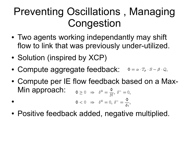# Preventing Oscillations , Managing **Congestion**

- Two agents working independantly may shift flow to link that was previously under-utilized.
- Solution (inspired by XCP)
- Compute aggregate feedback:  $\Phi = \alpha \cdot T_p \cdot S \beta \cdot Q$ ,
- Compute per IE flow feedback based on a Max-Min approach:  $\Phi \geq 0 \Rightarrow \delta^+ = \frac{\Phi}{M}, \delta^- = 0,$
- $\Phi < 0 \Rightarrow \delta^+ = 0, \delta^- = \frac{\Phi}{\delta t},$  $\bullet$
- Positive feedback added, negative multiplied.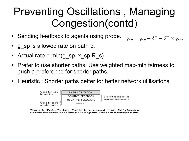# Preventing Oscillations , Managing Congestion(contd)

 $g_{\varepsilon p} = g_{\varepsilon p} + \delta^+ - \delta^- \times g_{\varepsilon p}$ 

- Sending feedback to agents using probe.
- g sp is allowed rate on path p.
- Actual rate =  $min(g_sp, x_sp R_s)$ .
- Prefer to use shorter paths: Use weighted max-min fairness to push a preference for shorter paths.
- Heuristic : Shorter paths better for better network utilisations



Figure 2: Probe Packet. Feedback is returned in two fields because Positive Feedback is additive while Negative Feedback is multiplicative.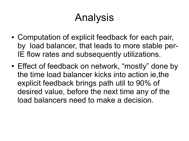# Analysis

- Computation of explicit feedback for each pair, by load balancer, that leads to more stable per-IE flow rates and subsequently utilizations.
- Effect of feedback on network, "mostly" done by the time load balancer kicks into action ie,the explicit feedback brings path util to 90% of desired value, before the next time any of the load balancers need to make a decision.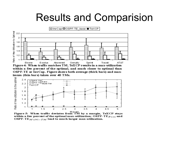#### Results and Comparision



within a few percent of the optimal, and much closer to optimal than OSPF-TE or InvCap. Figure shows both average (thick bars) and maximum (thin bars) taken over 40 TMs.



Figure 5: When traffic deviates from TM by a margin, TeXCP stays within a few percent of the optimal max-utilization;  $OSPF-TE_{Base}$  and OSPF-TE $_{Multi=TM}$  lead to much larger max-utilization.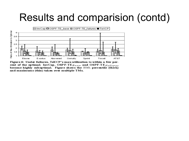#### Results and comparision (contd)



Figure 6: Under failures, TeXCP's max-utilization is within a few percent of the optimal; InvCap, OSPF-TE $_{Base}$ , and OSPF-TE $_{Failing}$ become highly suboptimal. Figure shows the  $90th$  percentile (thick) and maximums (thin) taken over multiple TMs.